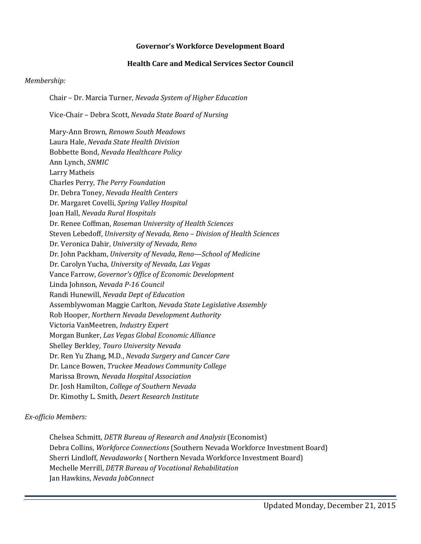## **Governor's Workforce Development Board**

## **Health Care and Medical Services Sector Council**

## *Membership:*

Chair – Dr. Marcia Turner, *Nevada System of Higher Education*

Vice-Chair – Debra Scott, *Nevada State Board of Nursing*

Mary-Ann Brown, *Renown South Meadows* Laura Hale, *Nevada State Health Division* Bobbette Bond, *Nevada Healthcare Policy* Ann Lynch, *SNMIC* Larry Matheis Charles Perry*, The Perry Foundation* Dr. Debra Toney, *Nevada Health Centers* Dr. Margaret Covelli, *Spring Valley Hospital* Joan Hall, *Nevada Rural Hospitals* Dr. Renee Coffman, *Roseman University of Health Sciences* Steven Lebedoff, *University of Nevada, Reno – Division of Health Sciences* Dr. Veronica Dahir, *University of Nevada, Reno* Dr. John Packham, *University of Nevada, Reno—School of Medicine* Dr. Carolyn Yucha, *University of Nevada, Las Vegas* Vance Farrow, *Governor's Office of Economic Development* Linda Johnson, *Nevada P-16 Council* Randi Hunewill, *Nevada Dept of Education* Assemblywoman Maggie Carlton, *Nevada State Legislative Assembly* Rob Hooper, *Northern Nevada Development Authority* Victoria VanMeetren, *Industry Expert* Morgan Bunker, *Las Vegas Global Economic Alliance* Shelley Berkley, *Touro University Nevada* Dr. Ren Yu Zhang, M.D., *Nevada Surgery and Cancer Care* Dr. Lance Bowen, *Truckee Meadows Community College* Marissa Brown, *Nevada Hospital Association* Dr. Josh Hamilton, *College of Southern Nevada* Dr. Kimothy L. Smith, *Desert Research Institute*

## *Ex-officio Members:*

Chelsea Schmitt, *DETR Bureau of Research and Analysis* (Economist) Debra Collins, *Workforce Connections* (Southern Nevada Workforce Investment Board) Sherri Lindloff, *Nevadaworks* ( Northern Nevada Workforce Investment Board) Mechelle Merrill, *DETR Bureau of Vocational Rehabilitation*  Jan Hawkins, *Nevada JobConnect*